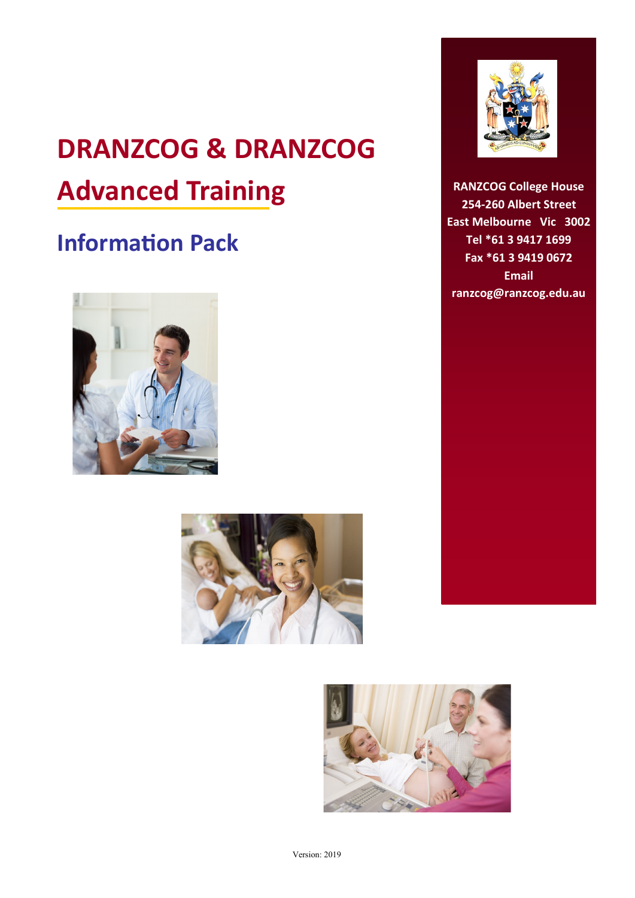# **DRANZCOG & DRANZCOG Advanced Training**

### **Information Pack**









**RANZCOG College House 254-260 Albert Street East Melbourne Vic 3002 Tel \*61 3 9417 1699 Fax \*61 3 9419 0672 Email ranzcog@ranzcog.edu.au**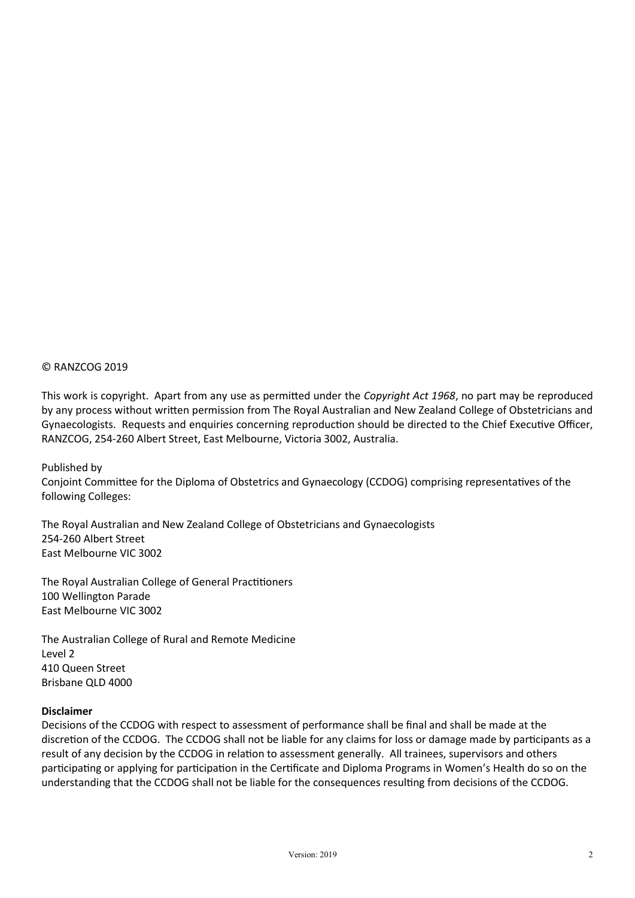#### © RANZCOG 2019

This work is copyright. Apart from any use as permitted under the *Copyright Act 1968*, no part may be reproduced by any process without written permission from The Royal Australian and New Zealand College of Obstetricians and Gynaecologists. Requests and enquiries concerning reproduction should be directed to the Chief Executive Officer, RANZCOG, 254-260 Albert Street, East Melbourne, Victoria 3002, Australia.

Published by

Conjoint Committee for the Diploma of Obstetrics and Gynaecology (CCDOG) comprising representatives of the following Colleges:

The Royal Australian and New Zealand College of Obstetricians and Gynaecologists 254-260 Albert Street East Melbourne VIC 3002

The Royal Australian College of General Practitioners 100 Wellington Parade East Melbourne VIC 3002

The Australian College of Rural and Remote Medicine Level 2 410 Queen Street Brisbane QLD 4000

#### **Disclaimer**

Decisions of the CCDOG with respect to assessment of performance shall be final and shall be made at the discretion of the CCDOG. The CCDOG shall not be liable for any claims for loss or damage made by participants as a result of any decision by the CCDOG in relation to assessment generally. All trainees, supervisors and others participating or applying for participation in the Certificate and Diploma Programs in Women's Health do so on the understanding that the CCDOG shall not be liable for the consequences resulting from decisions of the CCDOG.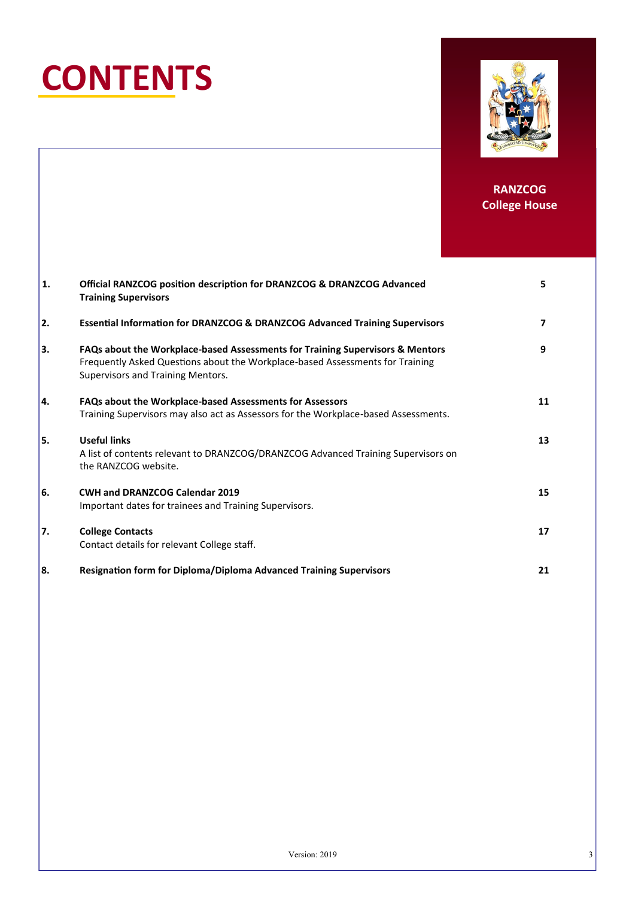# **CONTENTS**



| 1.  | Official RANZCOG position description for DRANZCOG & DRANZCOG Advanced<br><b>Training Supervisors</b>                                                                                               | 5  |
|-----|-----------------------------------------------------------------------------------------------------------------------------------------------------------------------------------------------------|----|
| 2.  | <b>Essential Information for DRANZCOG &amp; DRANZCOG Advanced Training Supervisors</b>                                                                                                              | 7  |
| 3.  | FAQs about the Workplace-based Assessments for Training Supervisors & Mentors<br>Frequently Asked Questions about the Workplace-based Assessments for Training<br>Supervisors and Training Mentors. | 9  |
| l4. | <b>FAQs about the Workplace-based Assessments for Assessors</b><br>Training Supervisors may also act as Assessors for the Workplace-based Assessments.                                              | 11 |
| 5.  | <b>Useful links</b><br>A list of contents relevant to DRANZCOG/DRANZCOG Advanced Training Supervisors on<br>the RANZCOG website.                                                                    | 13 |
| 6.  | <b>CWH and DRANZCOG Calendar 2019</b><br>Important dates for trainees and Training Supervisors.                                                                                                     | 15 |
| 7.  | <b>College Contacts</b><br>Contact details for relevant College staff.                                                                                                                              | 17 |
| 88. | <b>Resignation form for Diploma/Diploma Advanced Training Supervisors</b>                                                                                                                           | 21 |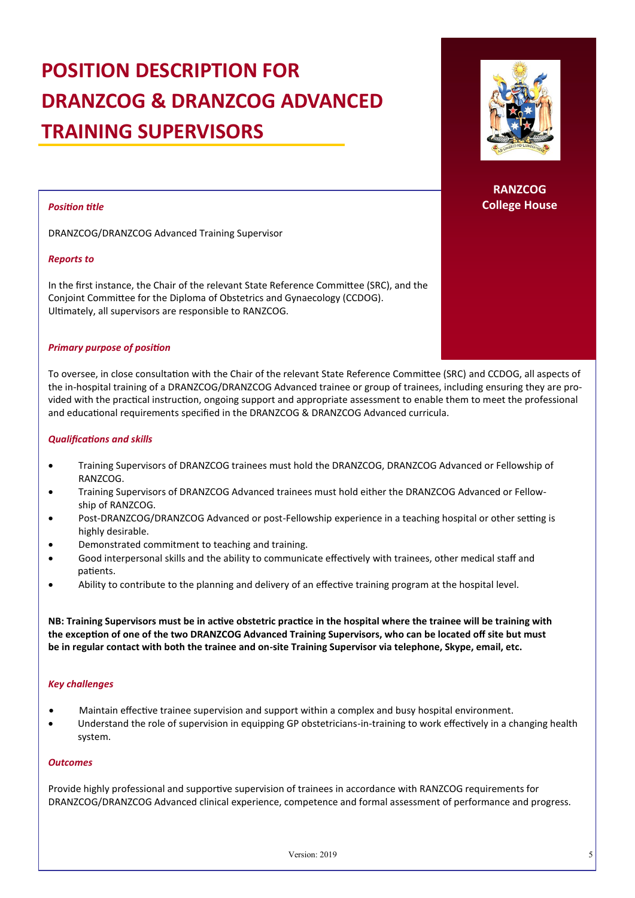## **POSITION DESCRIPTION FOR DRANZCOG & DRANZCOG ADVANCED TRAINING SUPERVISORS**

#### *Position title*

DRANZCOG/DRANZCOG Advanced Training Supervisor

#### *Reports to*

In the first instance, the Chair of the relevant State Reference Committee (SRC), and the Conjoint Committee for the Diploma of Obstetrics and Gynaecology (CCDOG). Ultimately, all supervisors are responsible to RANZCOG.

#### *Primary purpose of position*

To oversee, in close consultation with the Chair of the relevant State Reference Committee (SRC) and CCDOG, all aspects of the in-hospital training of a DRANZCOG/DRANZCOG Advanced trainee or group of trainees, including ensuring they are provided with the practical instruction, ongoing support and appropriate assessment to enable them to meet the professional and educational requirements specified in the DRANZCOG & DRANZCOG Advanced curricula.

#### *Qualifications and skills*

- Training Supervisors of DRANZCOG trainees must hold the DRANZCOG, DRANZCOG Advanced or Fellowship of RANZCOG.
- Training Supervisors of DRANZCOG Advanced trainees must hold either the DRANZCOG Advanced or Fellowship of RANZCOG.
- Post-DRANZCOG/DRANZCOG Advanced or post-Fellowship experience in a teaching hospital or other setting is highly desirable.
- Demonstrated commitment to teaching and training.
- Good interpersonal skills and the ability to communicate effectively with trainees, other medical staff and patients.
- Ability to contribute to the planning and delivery of an effective training program at the hospital level.

**NB: Training Supervisors must be in active obstetric practice in the hospital where the trainee will be training with the exception of one of the two DRANZCOG Advanced Training Supervisors, who can be located off site but must be in regular contact with both the trainee and on-site Training Supervisor via telephone, Skype, email, etc.**

#### *Key challenges*

- Maintain effective trainee supervision and support within a complex and busy hospital environment.
- Understand the role of supervision in equipping GP obstetricians-in-training to work effectively in a changing health system.

#### *Outcomes*

Provide highly professional and supportive supervision of trainees in accordance with RANZCOG requirements for DRANZCOG/DRANZCOG Advanced clinical experience, competence and formal assessment of performance and progress.

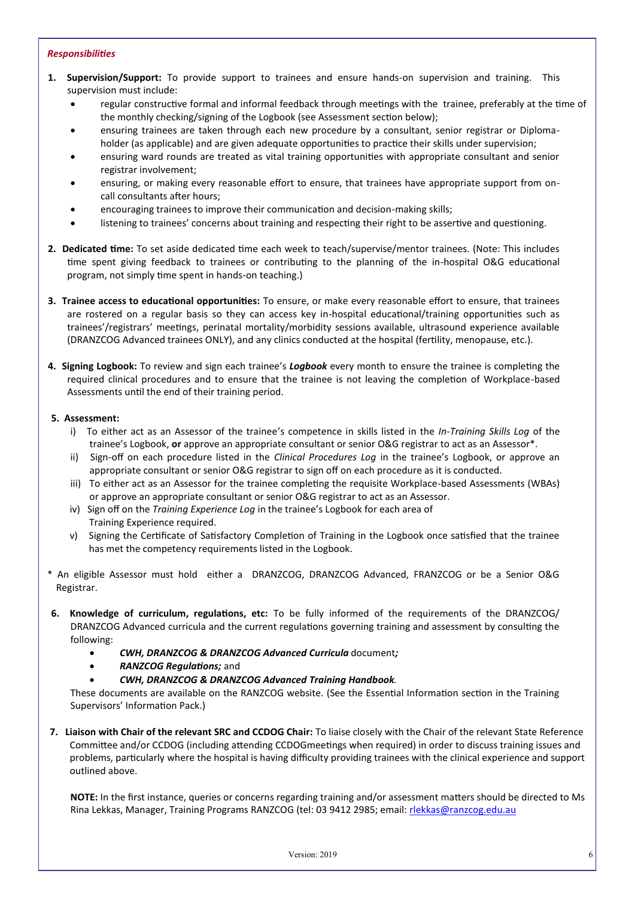#### *Responsibilities*

- **1. Supervision/Support:** To provide support to trainees and ensure hands-on supervision and training. This supervision must include:
	- regular constructive formal and informal feedback through meetings with the trainee, preferably at the time of the monthly checking/signing of the Logbook (see Assessment section below);
	- ensuring trainees are taken through each new procedure by a consultant, senior registrar or Diplomaholder (as applicable) and are given adequate opportunities to practice their skills under supervision;
	- ensuring ward rounds are treated as vital training opportunities with appropriate consultant and senior registrar involvement;
	- ensuring, or making every reasonable effort to ensure, that trainees have appropriate support from oncall consultants after hours;
	- encouraging trainees to improve their communication and decision-making skills;
	- listening to trainees' concerns about training and respecting their right to be assertive and questioning.
- **2. Dedicated time:** To set aside dedicated time each week to teach/supervise/mentor trainees. (Note: This includes time spent giving feedback to trainees or contributing to the planning of the in-hospital O&G educational program, not simply time spent in hands-on teaching.)
- **3. Trainee access to educational opportunities:** To ensure, or make every reasonable effort to ensure, that trainees are rostered on a regular basis so they can access key in-hospital educational/training opportunities such as trainees'/registrars' meetings, perinatal mortality/morbidity sessions available, ultrasound experience available (DRANZCOG Advanced trainees ONLY), and any clinics conducted at the hospital (fertility, menopause, etc.).
- **4. Signing Logbook:** To review and sign each trainee's *Logbook* every month to ensure the trainee is completing the required clinical procedures and to ensure that the trainee is not leaving the completion of Workplace-based Assessments until the end of their training period.

#### **5. Assessment:**

- i) To either act as an Assessor of the trainee's competence in skills listed in the *In-Training Skills Log* of the trainee's Logbook, **or** approve an appropriate consultant or senior O&G registrar to act as an Assessor\*.
- ii) Sign-off on each procedure listed in the *Clinical Procedures Log* in the trainee's Logbook, or approve an appropriate consultant or senior O&G registrar to sign off on each procedure as it is conducted.
- iii) To either act as an Assessor for the trainee completing the requisite Workplace-based Assessments (WBAs) or approve an appropriate consultant or senior O&G registrar to act as an Assessor.
- iv) Sign off on the *Training Experience Log* in the trainee's Logbook for each area of Training Experience required.
- v) Signing the Certificate of Satisfactory Completion of Training in the Logbook once satisfied that the trainee has met the competency requirements listed in the Logbook.
- \* An eligible Assessor must hold either a DRANZCOG, DRANZCOG Advanced, FRANZCOG or be a Senior O&G Registrar.
- **6. Knowledge of curriculum, regulations, etc:** To be fully informed of the requirements of the DRANZCOG/ DRANZCOG Advanced curricula and the current regulations governing training and assessment by consulting the following:
	- *CWH, DRANZCOG & DRANZCOG Advanced Curricula* document*;*
	- *RANZCOG Regulations;* and
	- *CWH, DRANZCOG & DRANZCOG Advanced Training Handbook*.

These documents are available on the RANZCOG website. (See the Essential Information section in the Training Supervisors' Information Pack.)

**7. Liaison with Chair of the relevant SRC and CCDOG Chair:** To liaise closely with the Chair of the relevant State Reference Committee and/or CCDOG (including attending CCDOGmeetings when required) in order to discuss training issues and problems, particularly where the hospital is having difficulty providing trainees with the clinical experience and support outlined above.

**NOTE:** In the first instance, queries or concerns regarding training and/or assessment matters should be directed to Ms Rina Lekkas, Manager, Training Programs RANZCOG (tel: 03 9412 2985; email: [rlekkas@ranzcog.edu.au](mailto:smccarthy@ranzcog.edu.au)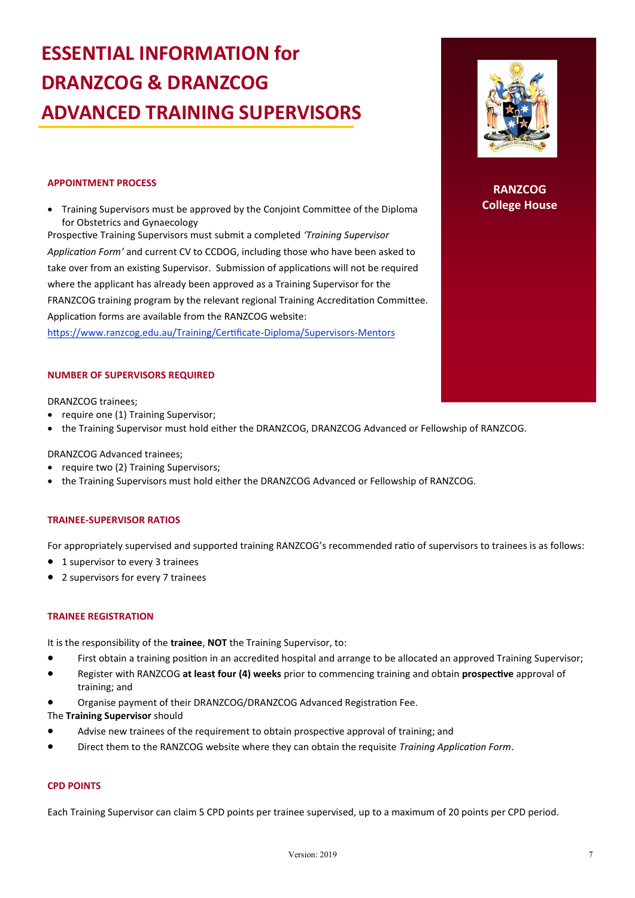## **ESSENTIAL INFORMATION for DRANZCOG & DRANZCOG ADVANCED TRAINING SUPERVISORS**

**RANZCOG College House**

#### **APPOINTMENT PROCESS**

• Training Supervisors must be approved by the Conjoint Committee of the Diploma for Obstetrics and Gynaecology

Prospective Training Supervisors must submit a completed *'Training Supervisor Application Form'* and current CV to CCDOG, including those who have been asked to take over from an existing Supervisor. Submission of applications will not be required where the applicant has already been approved as a Training Supervisor for the FRANZCOG training program by the relevant regional Training Accreditation Committee. Application forms are available from the RANZCOG website:

https://www.ranzcog.edu.au/Training/Certificate-Diploma/Supervisors-Mentors

#### **NUMBER OF SUPERVISORS REQUIRED**

#### DRANZCOG trainees;

- require one (1) Training Supervisor;
- the Training Supervisor must hold either the DRANZCOG, DRANZCOG Advanced or Fellowship of RANZCOG.

DRANZCOG Advanced trainees;

- require two (2) Training Supervisors;
- the Training Supervisors must hold either the DRANZCOG Advanced or Fellowship of RANZCOG.

#### **TRAINEE-SUPERVISOR RATIOS**

For appropriately supervised and supported training RANZCOG's recommended ratio of supervisors to trainees is as follows:

- 1 supervisor to every 3 trainees
- 2 supervisors for every 7 trainees

#### **TRAINEE REGISTRATION**

It is the responsibility of the **trainee**, **NOT** the Training Supervisor, to:

- First obtain a training position in an accredited hospital and arrange to be allocated an approved Training Supervisor;
- Register with RANZCOG **at least four (4) weeks** prior to commencing training and obtain **prospective** approval of training; and
- Organise payment of their DRANZCOG/DRANZCOG Advanced Registration Fee.

The **Training Supervisor** should

- Advise new trainees of the requirement to obtain prospective approval of training; and
- Direct them to the RANZCOG website where they can obtain the requisite *Training Application Form*.

#### **CPD POINTS**

Each Training Supervisor can claim 5 CPD points per trainee supervised, up to a maximum of 20 points per CPD period.

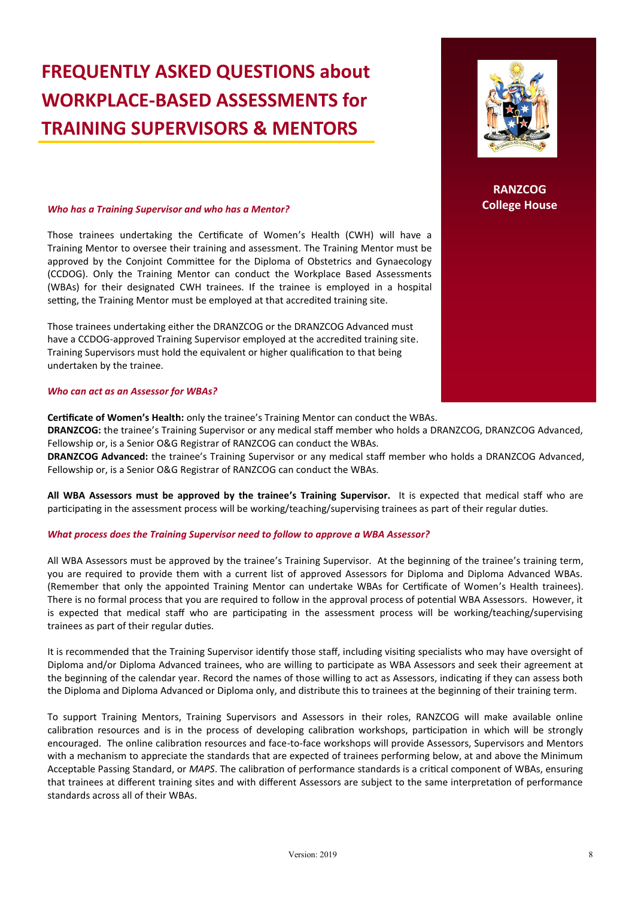### **FREQUENTLY ASKED QUESTIONS about WORKPLACE-BASED ASSESSMENTS for TRAINING SUPERVISORS & MENTORS**

#### *Who has a Training Supervisor and who has a Mentor?*

Those trainees undertaking the Certificate of Women's Health (CWH) will have a Training Mentor to oversee their training and assessment. The Training Mentor must be approved by the Conjoint Committee for the Diploma of Obstetrics and Gynaecology (CCDOG). Only the Training Mentor can conduct the Workplace Based Assessments (WBAs) for their designated CWH trainees. If the trainee is employed in a hospital setting, the Training Mentor must be employed at that accredited training site.

Those trainees undertaking either the DRANZCOG or the DRANZCOG Advanced must have a CCDOG-approved Training Supervisor employed at the accredited training site. Training Supervisors must hold the equivalent or higher qualification to that being undertaken by the trainee.

#### *Who can act as an Assessor for WBAs?*

**Certificate of Women's Health:** only the trainee's Training Mentor can conduct the WBAs.

**DRANZCOG:** the trainee's Training Supervisor or any medical staff member who holds a DRANZCOG, DRANZCOG Advanced, Fellowship or, is a Senior O&G Registrar of RANZCOG can conduct the WBAs.

**DRANZCOG Advanced:** the trainee's Training Supervisor or any medical staff member who holds a DRANZCOG Advanced, Fellowship or, is a Senior O&G Registrar of RANZCOG can conduct the WBAs.

**All WBA Assessors must be approved by the trainee's Training Supervisor.** It is expected that medical staff who are participating in the assessment process will be working/teaching/supervising trainees as part of their regular duties.

#### *What process does the Training Supervisor need to follow to approve a WBA Assessor?*

All WBA Assessors must be approved by the trainee's Training Supervisor. At the beginning of the trainee's training term, you are required to provide them with a current list of approved Assessors for Diploma and Diploma Advanced WBAs. (Remember that only the appointed Training Mentor can undertake WBAs for Certificate of Women's Health trainees). There is no formal process that you are required to follow in the approval process of potential WBA Assessors. However, it is expected that medical staff who are participating in the assessment process will be working/teaching/supervising trainees as part of their regular duties.

It is recommended that the Training Supervisor identify those staff, including visiting specialists who may have oversight of Diploma and/or Diploma Advanced trainees, who are willing to participate as WBA Assessors and seek their agreement at the beginning of the calendar year. Record the names of those willing to act as Assessors, indicating if they can assess both the Diploma and Diploma Advanced or Diploma only, and distribute this to trainees at the beginning of their training term.

To support Training Mentors, Training Supervisors and Assessors in their roles, RANZCOG will make available online calibration resources and is in the process of developing calibration workshops, participation in which will be strongly encouraged. The online calibration resources and face-to-face workshops will provide Assessors, Supervisors and Mentors with a mechanism to appreciate the standards that are expected of trainees performing below, at and above the Minimum Acceptable Passing Standard, or *MAPS*. The calibration of performance standards is a critical component of WBAs, ensuring that trainees at different training sites and with different Assessors are subject to the same interpretation of performance standards across all of their WBAs.

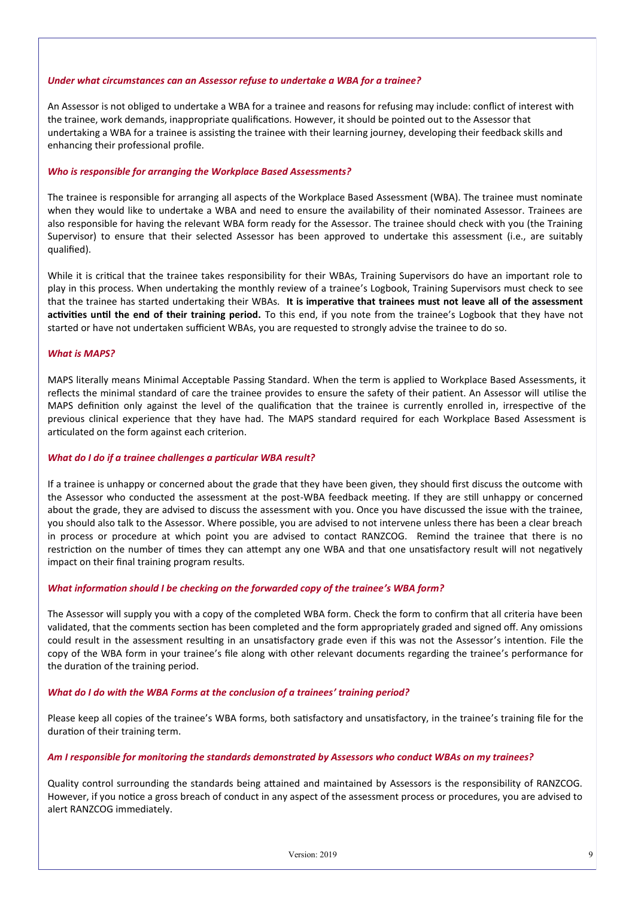#### *Under what circumstances can an Assessor refuse to undertake a WBA for a trainee?*

An Assessor is not obliged to undertake a WBA for a trainee and reasons for refusing may include: conflict of interest with the trainee, work demands, inappropriate qualifications. However, it should be pointed out to the Assessor that undertaking a WBA for a trainee is assisting the trainee with their learning journey, developing their feedback skills and enhancing their professional profile.

#### *Who is responsible for arranging the Workplace Based Assessments?*

The trainee is responsible for arranging all aspects of the Workplace Based Assessment (WBA). The trainee must nominate when they would like to undertake a WBA and need to ensure the availability of their nominated Assessor. Trainees are also responsible for having the relevant WBA form ready for the Assessor. The trainee should check with you (the Training Supervisor) to ensure that their selected Assessor has been approved to undertake this assessment (i.e., are suitably qualified).

While it is critical that the trainee takes responsibility for their WBAs, Training Supervisors do have an important role to play in this process. When undertaking the monthly review of a trainee's Logbook, Training Supervisors must check to see that the trainee has started undertaking their WBAs. **It is imperative that trainees must not leave all of the assessment activities until the end of their training period.** To this end, if you note from the trainee's Logbook that they have not started or have not undertaken sufficient WBAs, you are requested to strongly advise the trainee to do so.

#### *What is MAPS?*

MAPS literally means Minimal Acceptable Passing Standard. When the term is applied to Workplace Based Assessments, it reflects the minimal standard of care the trainee provides to ensure the safety of their patient. An Assessor will utilise the MAPS definition only against the level of the qualification that the trainee is currently enrolled in, irrespective of the previous clinical experience that they have had. The MAPS standard required for each Workplace Based Assessment is articulated on the form against each criterion.

#### *What do I do if a trainee challenges a particular WBA result?*

If a trainee is unhappy or concerned about the grade that they have been given, they should first discuss the outcome with the Assessor who conducted the assessment at the post-WBA feedback meeting. If they are still unhappy or concerned about the grade, they are advised to discuss the assessment with you. Once you have discussed the issue with the trainee, you should also talk to the Assessor. Where possible, you are advised to not intervene unless there has been a clear breach in process or procedure at which point you are advised to contact RANZCOG. Remind the trainee that there is no restriction on the number of times they can attempt any one WBA and that one unsatisfactory result will not negatively impact on their final training program results.

#### *What information should I be checking on the forwarded copy of the trainee's WBA form?*

The Assessor will supply you with a copy of the completed WBA form. Check the form to confirm that all criteria have been validated, that the comments section has been completed and the form appropriately graded and signed off. Any omissions could result in the assessment resulting in an unsatisfactory grade even if this was not the Assessor's intention. File the copy of the WBA form in your trainee's file along with other relevant documents regarding the trainee's performance for the duration of the training period.

#### *What do I do with the WBA Forms at the conclusion of a trainees' training period?*

Please keep all copies of the trainee's WBA forms, both satisfactory and unsatisfactory, in the trainee's training file for the duration of their training term.

#### *Am I responsible for monitoring the standards demonstrated by Assessors who conduct WBAs on my trainees?*

Quality control surrounding the standards being attained and maintained by Assessors is the responsibility of RANZCOG. However, if you notice a gross breach of conduct in any aspect of the assessment process or procedures, you are advised to alert RANZCOG immediately.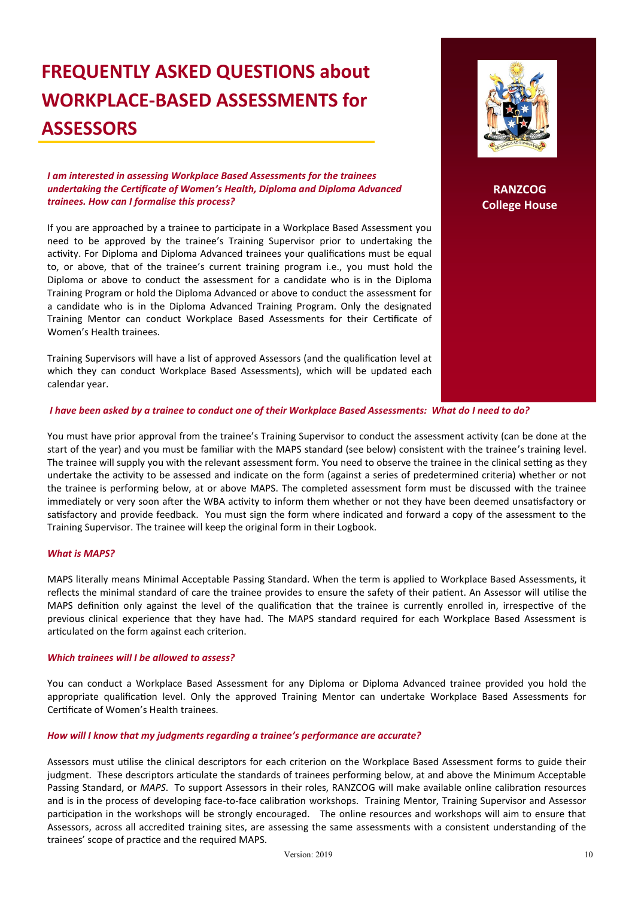### **FREQUENTLY ASKED QUESTIONS about WORKPLACE-BASED ASSESSMENTS for ASSESSORS**

*I am interested in assessing Workplace Based Assessments for the trainees undertaking the Certificate of Women's Health, Diploma and Diploma Advanced trainees. How can I formalise this process?*

If you are approached by a trainee to participate in a Workplace Based Assessment you need to be approved by the trainee's Training Supervisor prior to undertaking the activity. For Diploma and Diploma Advanced trainees your qualifications must be equal to, or above, that of the trainee's current training program i.e., you must hold the Diploma or above to conduct the assessment for a candidate who is in the Diploma Training Program or hold the Diploma Advanced or above to conduct the assessment for a candidate who is in the Diploma Advanced Training Program. Only the designated Training Mentor can conduct Workplace Based Assessments for their Certificate of Women's Health trainees.

Training Supervisors will have a list of approved Assessors (and the qualification level at which they can conduct Workplace Based Assessments), which will be updated each calendar year.

**RANZCOG College House**

#### *I have been asked by a trainee to conduct one of their Workplace Based Assessments: What do I need to do?*

You must have prior approval from the trainee's Training Supervisor to conduct the assessment activity (can be done at the start of the year) and you must be familiar with the MAPS standard (see below) consistent with the trainee's training level. The trainee will supply you with the relevant assessment form. You need to observe the trainee in the clinical setting as they undertake the activity to be assessed and indicate on the form (against a series of predetermined criteria) whether or not the trainee is performing below, at or above MAPS. The completed assessment form must be discussed with the trainee immediately or very soon after the WBA activity to inform them whether or not they have been deemed unsatisfactory or satisfactory and provide feedback. You must sign the form where indicated and forward a copy of the assessment to the Training Supervisor. The trainee will keep the original form in their Logbook.

#### *What is MAPS?*

MAPS literally means Minimal Acceptable Passing Standard. When the term is applied to Workplace Based Assessments, it reflects the minimal standard of care the trainee provides to ensure the safety of their patient. An Assessor will utilise the MAPS definition only against the level of the qualification that the trainee is currently enrolled in, irrespective of the previous clinical experience that they have had. The MAPS standard required for each Workplace Based Assessment is articulated on the form against each criterion.

#### *Which trainees will I be allowed to assess?*

You can conduct a Workplace Based Assessment for any Diploma or Diploma Advanced trainee provided you hold the appropriate qualification level. Only the approved Training Mentor can undertake Workplace Based Assessments for Certificate of Women's Health trainees.

#### *How will I know that my judgments regarding a trainee's performance are accurate?*

Assessors must utilise the clinical descriptors for each criterion on the Workplace Based Assessment forms to guide their judgment. These descriptors articulate the standards of trainees performing below, at and above the Minimum Acceptable Passing Standard, or *MAPS*. To support Assessors in their roles, RANZCOG will make available online calibration resources and is in the process of developing face-to-face calibration workshops. Training Mentor, Training Supervisor and Assessor participation in the workshops will be strongly encouraged. The online resources and workshops will aim to ensure that Assessors, across all accredited training sites, are assessing the same assessments with a consistent understanding of the trainees' scope of practice and the required MAPS.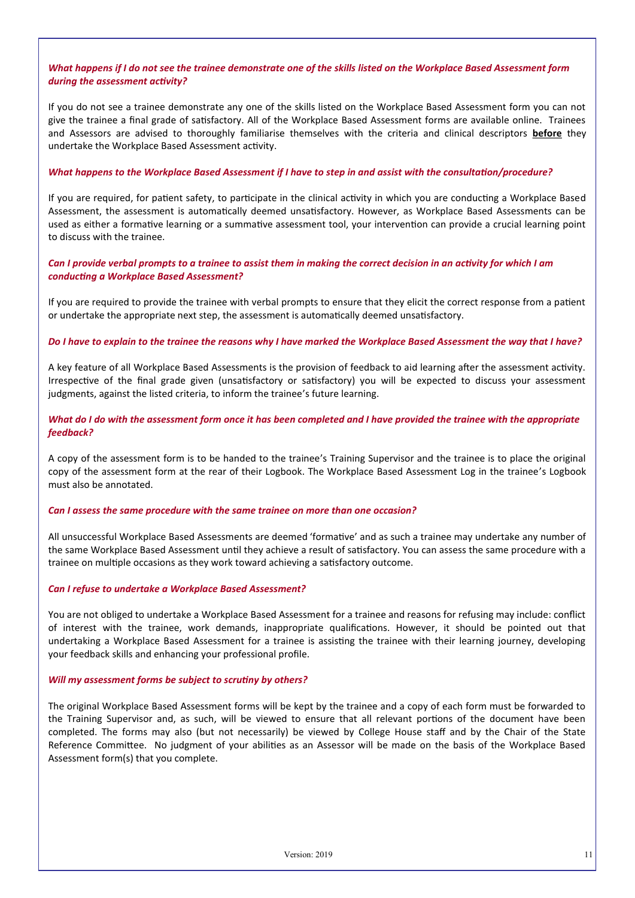#### *What happens if I do not see the trainee demonstrate one of the skills listed on the Workplace Based Assessment form during the assessment activity?*

If you do not see a trainee demonstrate any one of the skills listed on the Workplace Based Assessment form you can not give the trainee a final grade of satisfactory. All of the Workplace Based Assessment forms are available online. Trainees and Assessors are advised to thoroughly familiarise themselves with the criteria and clinical descriptors **before** they undertake the Workplace Based Assessment activity.

#### *What happens to the Workplace Based Assessment if I have to step in and assist with the consultation/procedure?*

If you are required, for patient safety, to participate in the clinical activity in which you are conducting a Workplace Based Assessment, the assessment is automatically deemed unsatisfactory. However, as Workplace Based Assessments can be used as either a formative learning or a summative assessment tool, your intervention can provide a crucial learning point to discuss with the trainee.

*Can I provide verbal prompts to a trainee to assist them in making the correct decision in an activity for which I am conducting a Workplace Based Assessment?*

If you are required to provide the trainee with verbal prompts to ensure that they elicit the correct response from a patient or undertake the appropriate next step, the assessment is automatically deemed unsatisfactory.

#### *Do I have to explain to the trainee the reasons why I have marked the Workplace Based Assessment the way that I have?*

A key feature of all Workplace Based Assessments is the provision of feedback to aid learning after the assessment activity. Irrespective of the final grade given (unsatisfactory or satisfactory) you will be expected to discuss your assessment judgments, against the listed criteria, to inform the trainee's future learning.

*What do I do with the assessment form once it has been completed and I have provided the trainee with the appropriate feedback?*

A copy of the assessment form is to be handed to the trainee's Training Supervisor and the trainee is to place the original copy of the assessment form at the rear of their Logbook. The Workplace Based Assessment Log in the trainee's Logbook must also be annotated.

#### *Can I assess the same procedure with the same trainee on more than one occasion?*

All unsuccessful Workplace Based Assessments are deemed 'formative' and as such a trainee may undertake any number of the same Workplace Based Assessment until they achieve a result of satisfactory. You can assess the same procedure with a trainee on multiple occasions as they work toward achieving a satisfactory outcome.

#### *Can I refuse to undertake a Workplace Based Assessment?*

You are not obliged to undertake a Workplace Based Assessment for a trainee and reasons for refusing may include: conflict of interest with the trainee, work demands, inappropriate qualifications. However, it should be pointed out that undertaking a Workplace Based Assessment for a trainee is assisting the trainee with their learning journey, developing your feedback skills and enhancing your professional profile.

#### *Will my assessment forms be subject to scrutiny by others?*

The original Workplace Based Assessment forms will be kept by the trainee and a copy of each form must be forwarded to the Training Supervisor and, as such, will be viewed to ensure that all relevant portions of the document have been completed. The forms may also (but not necessarily) be viewed by College House staff and by the Chair of the State Reference Committee. No judgment of your abilities as an Assessor will be made on the basis of the Workplace Based Assessment form(s) that you complete.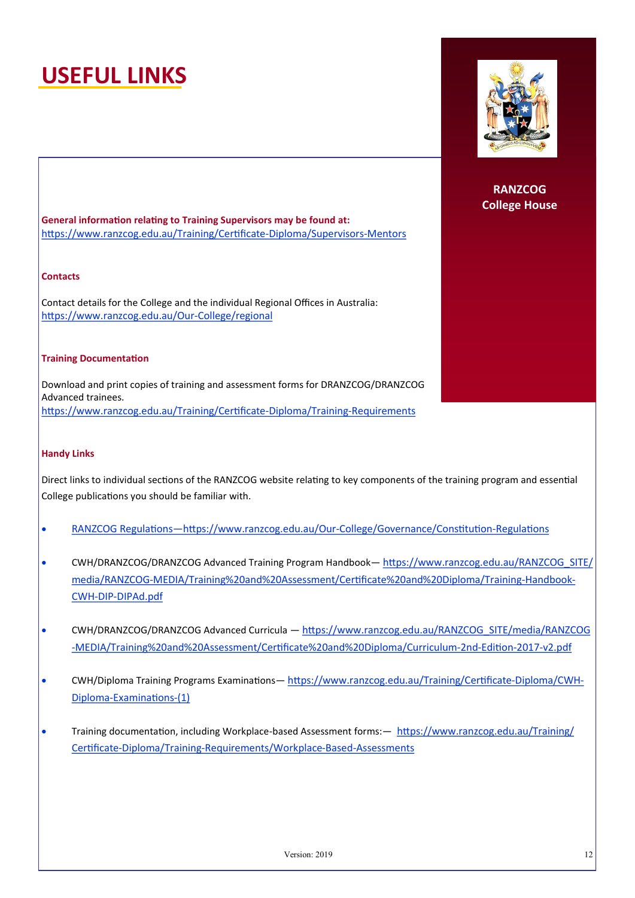## **USEFUL LINKS**



**RANZCOG College House**

**General information relating to Training Supervisors may be found at:** https://www.ranzcog.edu.au/Training/Certificate-Diploma/Supervisors-Mentors

#### **Contacts**

Contact details for the College and the individual Regional Offices in Australia: https://www.ranzcog.edu.au/Our-College/regional

#### **Training Documentation**

Download and print copies of training and assessment forms for DRANZCOG/DRANZCOG Advanced trainees. https://www.ranzcog.edu.au/Training/Certificate-Diploma/Training-Requirements

#### **Handy Links**

Direct links to individual sections of the RANZCOG website relating to key components of the training program and essential College publications you should be familiar with.

- RANZCOG Regulations—https://www.ranzcog.edu.au/Our-College/Governance/Constitution-Regulations
- CWH/DRANZCOG/DRANZCOG Advanced Training Program Handbook— https://www.ranzcog.edu.au/RANZCOG\_SITE/ media/RANZCOG-MEDIA/Training%20and%20Assessment/Certificate%20and%20Diploma/Training-Handbook-CWH-DIP-DIPAd.pdf
- CWH/DRANZCOG/DRANZCOG Advanced Curricula https://www.ranzcog.edu.au/RANZCOG\_SITE/media/RANZCOG -MEDIA/Training%20and%20Assessment/Certificate%20and%20Diploma/Curriculum-2nd-Edition-2017-v2.pdf
- CWH/Diploma Training Programs Examinations— https://www.ranzcog.edu.au/Training/Certificate-Diploma/CWH-Diploma-Examinations-(1)
- Training documentation, including Workplace-based Assessment forms:— https://www.ranzcog.edu.au/Training/ Certificate-Diploma/Training-Requirements/Workplace-Based-Assessments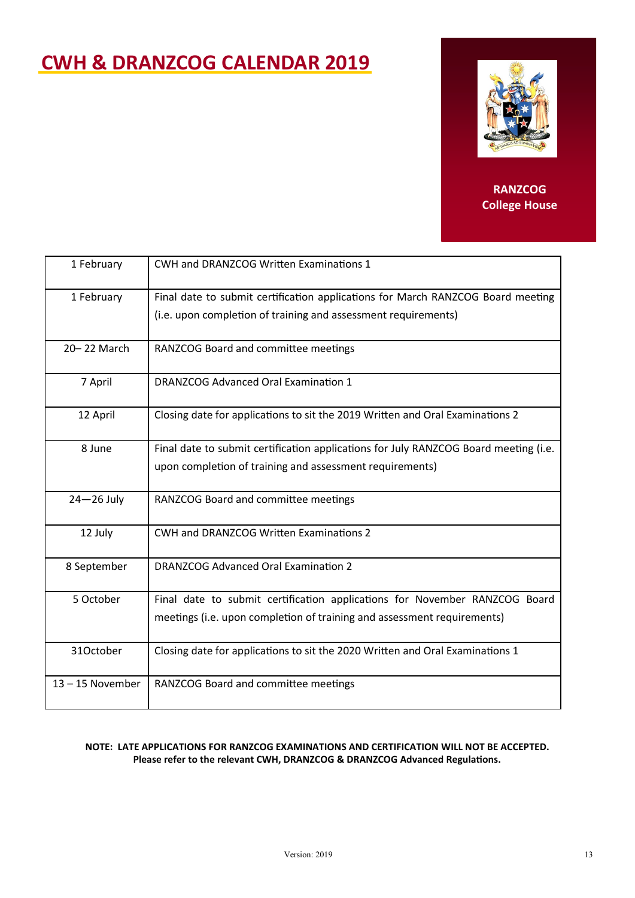### **CWH & DRANZCOG CALENDAR 2019**



#### **RANZCOG College House**

| 1 February         | <b>CWH and DRANZCOG Written Examinations 1</b>                                                                                                        |
|--------------------|-------------------------------------------------------------------------------------------------------------------------------------------------------|
| 1 February         | Final date to submit certification applications for March RANZCOG Board meeting<br>(i.e. upon completion of training and assessment requirements)     |
| 20-22 March        | RANZCOG Board and committee meetings                                                                                                                  |
| 7 April            | <b>DRANZCOG Advanced Oral Examination 1</b>                                                                                                           |
| 12 April           | Closing date for applications to sit the 2019 Written and Oral Examinations 2                                                                         |
| 8 June             | Final date to submit certification applications for July RANZCOG Board meeting (i.e.<br>upon completion of training and assessment requirements)      |
| $24 - 26$ July     | RANZCOG Board and committee meetings                                                                                                                  |
| 12 July            | CWH and DRANZCOG Written Examinations 2                                                                                                               |
| 8 September        | <b>DRANZCOG Advanced Oral Examination 2</b>                                                                                                           |
| 5 October          | Final date to submit certification applications for November RANZCOG Board<br>meetings (i.e. upon completion of training and assessment requirements) |
| 31October          | Closing date for applications to sit the 2020 Written and Oral Examinations 1                                                                         |
| $13 - 15$ November | RANZCOG Board and committee meetings                                                                                                                  |

#### **NOTE: LATE APPLICATIONS FOR RANZCOG EXAMINATIONS AND CERTIFICATION WILL NOT BE ACCEPTED. Please refer to the relevant CWH, DRANZCOG & DRANZCOG Advanced Regulations.**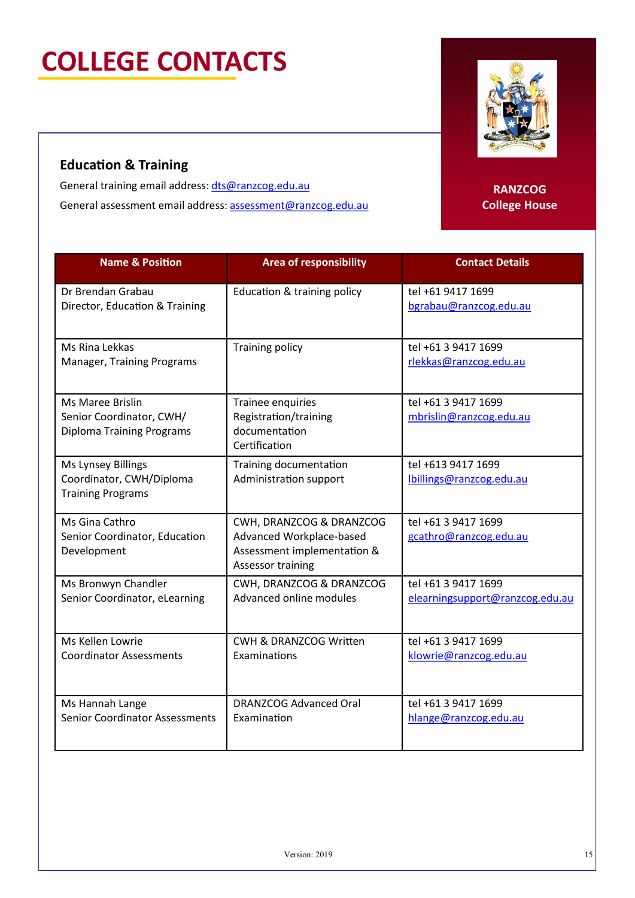# **COLLEGE CONTACTS**

### **Education & Training**

General training email address: [dts@ranzcog.edu.au](mailto:training@ranzcog.edu.au) General assessment email address: [assessment@ranzcog.edu.au](mailto:assessment@ranzcog.edu.au)

**Name & Position Area of responsibility Contact Details** Dr Brendan Grabau Director, Education & Training Education & training policy  $\vert$  tel +61 9417 1699 bgrabau[@ranzcog.edu.au](mailto:ljohnson@ranzcog.edu.au) Ms Rina Lekkas Manager, Training Programs Training policy 1699 [rlekkas@ranzcog.edu.au](mailto:smccarthy@ranzcog.edu.au) Ms Maree Brislin Senior Coordinator, CWH/ Diploma Training Programs Trainee enquiries Registration/training documentation Certification tel +61 3 9417 1699 [mbrislin@ranzcog.edu.au](mailto:mbrislin@ranzcog.edu.au) Ms Lynsey Billings Coordinator, CWH/Diploma Training Programs Training documentation Administration support tel +613 9417 1699 lbillings@ranzcog.edu.au Ms Gina Cathro Senior Coordinator, Education Development CWH, DRANZCOG & DRANZCOG Advanced Workplace-based Assessment implementation & Assessor training tel +61 3 9417 1699 gcathro@ranzcog.edu.au Ms Bronwyn Chandler Senior Coordinator, eLearning CWH, DRANZCOG & DRANZCOG Advanced online modules tel +61 3 9417 1699 [elearningsupport@ranzcog.edu.au](mailto:ldavison@ranzcog.edu.au) Ms Kellen Lowrie Coordinator Assessments CWH & DRANZCOG Written Examinations tel +61 3 9417 1699 klowrie[@ranzcog.edu.au](mailto:laitken@ranzcog.edu.au) Ms Hannah Lange Senior Coordinator Assessments DRANZCOG Advanced Oral Examination tel +61 3 9417 1699 hlange[@ranzcog.edu.au](mailto:khertrick@ranzcog.edu.au)

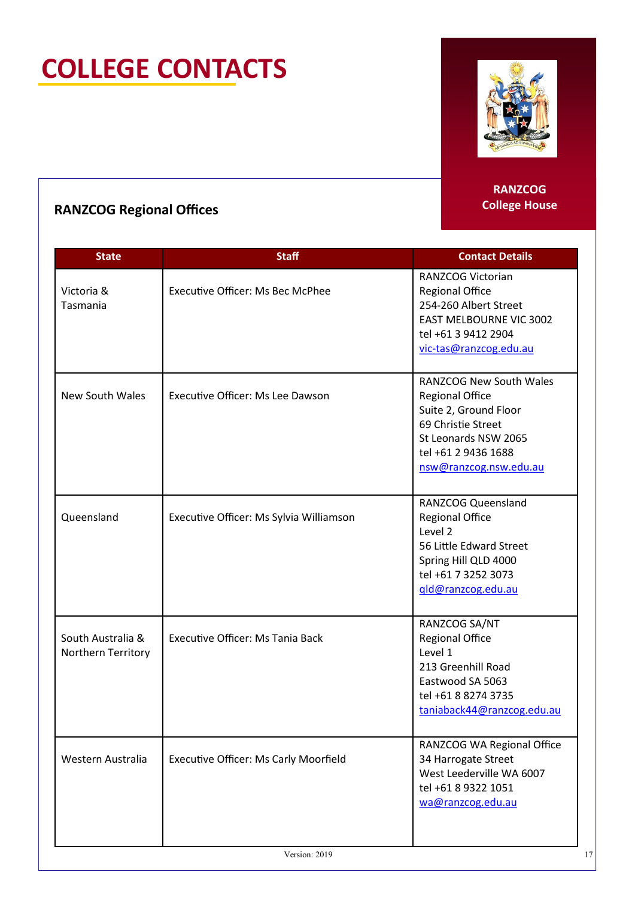# **COLLEGE CONTACTS**